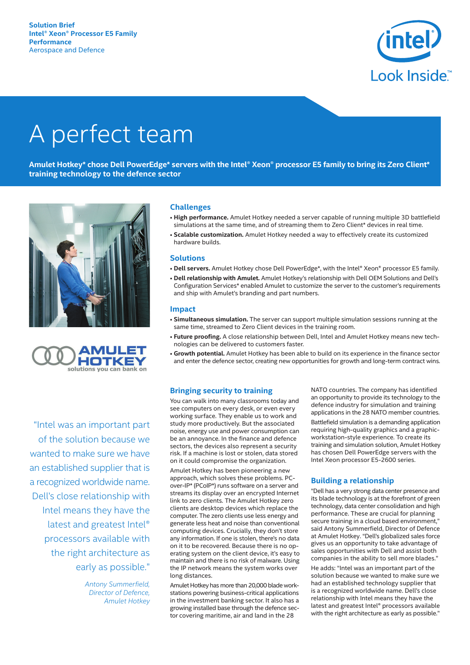

# A perfect team

Amulet Hotkey\* chose Dell PowerEdge\* servers with the Intel® Xeon® processor E5 family to bring its Zero Client\* **training technology to the defence sector**





"Intel was an important part of the solution because we wanted to make sure we have an established supplier that is a recognized worldwide name. Dell's close relationship with Intel means they have the latest and greatest Intel® processors available with the right architecture as early as possible."

> *Antony Summerfield, Director of Defence, Amulet Hotkey*

# **Challenges**

- **High performance.** Amulet Hotkey needed a server capable of running multiple 3D battlefield simulations at the same time, and of streaming them to Zero Client\* devices in real time.
- **Scalable customization.** Amulet Hotkey needed a way to effectively create its customized hardware builds.

## **Solutions**

- **Dell servers.** Amulet Hotkey chose Dell PowerEdge\*, with the Intel® Xeon® processor E5 family.
- **Dell relationship with Amulet.** Amulet Hotkey's relationship with Dell OEM Solutions and Dell's Configuration Services\* enabled Amulet to customize the server to the customer's requirements and ship with Amulet's branding and part numbers.

# **Impact**

- **Simultaneous simulation.** The server can support multiple simulation sessions running at the same time, streamed to Zero Client devices in the training room.
- **Future proofing.** A close relationship between Dell, Intel and Amulet Hotkey means new technologies can be delivered to customers faster.
- **Growth potential.** Amulet Hotkey has been able to build on its experience in the finance sector and enter the defence sector, creating new opportunities for growth and long-term contract wins.

### **Bringing security to training**

You can walk into many classrooms today and see computers on every desk, or even every working surface. They enable us to work and study more productively. But the associated noise, energy use and power consumption can be an annoyance. In the finance and defence sectors, the devices also represent a security risk. If a machine is lost or stolen, data stored on it could compromise the organization.

Amulet Hotkey has been pioneering a new approach, which solves these problems. PCover-IP\* (PCoIP\*) runs software on a server and streams its display over an encrypted Internet link to zero clients. The Amulet Hotkey zero clients are desktop devices which replace the computer. The zero clients use less energy and generate less heat and noise than conventional computing devices. Crucially, they don't store any information. If one is stolen, there's no data on it to be recovered. Because there is no operating system on the client device, it's easy to maintain and there is no risk of malware. Using the IP network means the system works over long distances.

Amulet Hotkey has more than 20,000 blade workstations powering business-critical applications in the investment banking sector. It also has a growing installed base through the defence sector covering maritime, air and land in the 28

NATO countries. The company has identified an opportunity to provide its technology to the defence industry for simulation and training applications in the 28 NATO member countries.

Battlefield simulation is a demanding application requiring high-quality graphics and a graphicworkstation-style experience. To create its training and simulation solution, Amulet Hotkey has chosen Dell PowerEdge servers with the Intel Xeon processor E5-2600 series.

### **Building a relationship**

"Dell has a very strong data center presence and its blade technology is at the forefront of green technology, data center consolidation and high performance. These are crucial for planning secure training in a cloud based environment," said Antony Summerfield, Director of Defence at Amulet Hotkey. "Dell's globalized sales force gives us an opportunity to take advantage of sales opportunities with Dell and assist both companies in the ability to sell more blades."

He adds: "Intel was an important part of the solution because we wanted to make sure we had an established technology supplier that is a recognized worldwide name. Dell's close relationship with Intel means they have the latest and greatest Intel® processors available with the right architecture as early as possible."